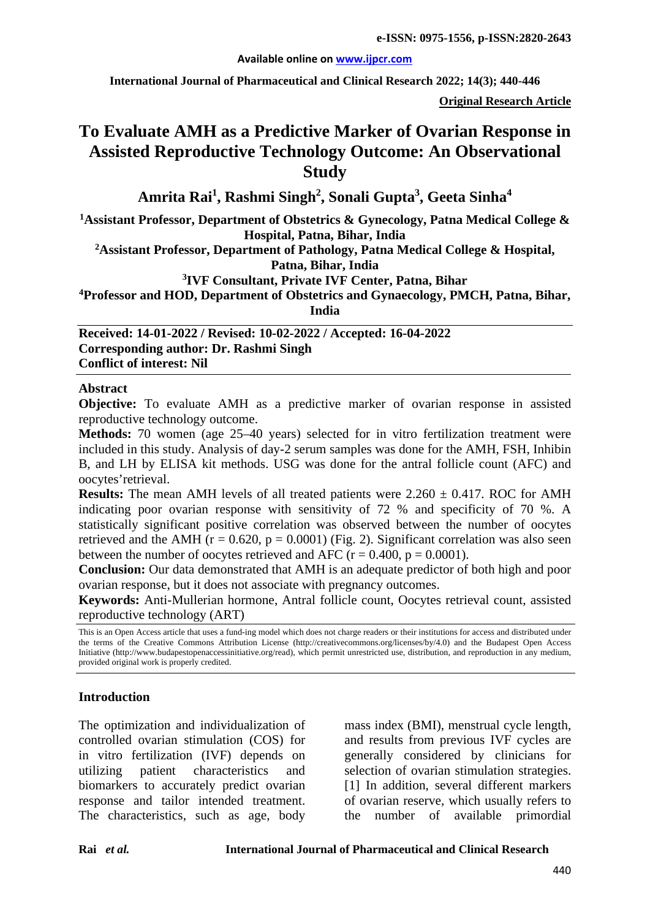#### **Available online on [www.ijpcr.com](http://www.ijpcr.com/)**

**International Journal of Pharmaceutical and Clinical Research 2022; 14(3); 440-446**

**Original Research Article**

# **To Evaluate AMH as a Predictive Marker of Ovarian Response in Assisted Reproductive Technology Outcome: An Observational Study**

**Amrita Rai1 , Rashmi Singh2 , Sonali Gupta3 , Geeta Sinha4**

**1 Assistant Professor, Department of Obstetrics & Gynecology, Patna Medical College & Hospital, Patna, Bihar, India**

**2Assistant Professor, Department of Pathology, Patna Medical College & Hospital, Patna, Bihar, India**

**3 IVF Consultant, Private IVF Center, Patna, Bihar**

**4 Professor and HOD, Department of Obstetrics and Gynaecology, PMCH, Patna, Bihar,** 

**India**

**Received: 14-01-2022 / Revised: 10-02-2022 / Accepted: 16-04-2022 Corresponding author: Dr. Rashmi Singh Conflict of interest: Nil**

#### **Abstract**

**Objective:** To evaluate AMH as a predictive marker of ovarian response in assisted reproductive technology outcome.

**Methods:** 70 women (age 25–40 years) selected for in vitro fertilization treatment were included in this study. Analysis of day-2 serum samples was done for the AMH, FSH, Inhibin B, and LH by ELISA kit methods. USG was done for the antral follicle count (AFC) and oocytes'retrieval.

**Results:** The mean AMH levels of all treated patients were  $2.260 \pm 0.417$ . ROC for AMH indicating poor ovarian response with sensitivity of 72 % and specificity of 70 %. A statistically significant positive correlation was observed between the number of oocytes retrieved and the AMH ( $r = 0.620$ ,  $p = 0.0001$ ) (Fig. 2). Significant correlation was also seen between the number of oocytes retrieved and AFC ( $r = 0.400$ ,  $p = 0.0001$ ).

**Conclusion:** Our data demonstrated that AMH is an adequate predictor of both high and poor ovarian response, but it does not associate with pregnancy outcomes.

**Keywords:** Anti-Mullerian hormone, Antral follicle count, Oocytes retrieval count, assisted reproductive technology (ART)

This is an Open Access article that uses a fund-ing model which does not charge readers or their institutions for access and distributed under the terms of the Creative Commons Attribution License (http://creativecommons.org/licenses/by/4.0) and the Budapest Open Access Initiative (http://www.budapestopenaccessinitiative.org/read), which permit unrestricted use, distribution, and reproduction in any medium, provided original work is properly credited.

#### **Introduction**

The optimization and individualization of controlled ovarian stimulation (COS) for in vitro fertilization (IVF) depends on utilizing patient characteristics and biomarkers to accurately predict ovarian response and tailor intended treatment. The characteristics, such as age, body mass index (BMI), menstrual cycle length, and results from previous IVF cycles are generally considered by clinicians for selection of ovarian stimulation strategies. [1] In addition, several different markers of ovarian reserve, which usually refers to the number of available primordial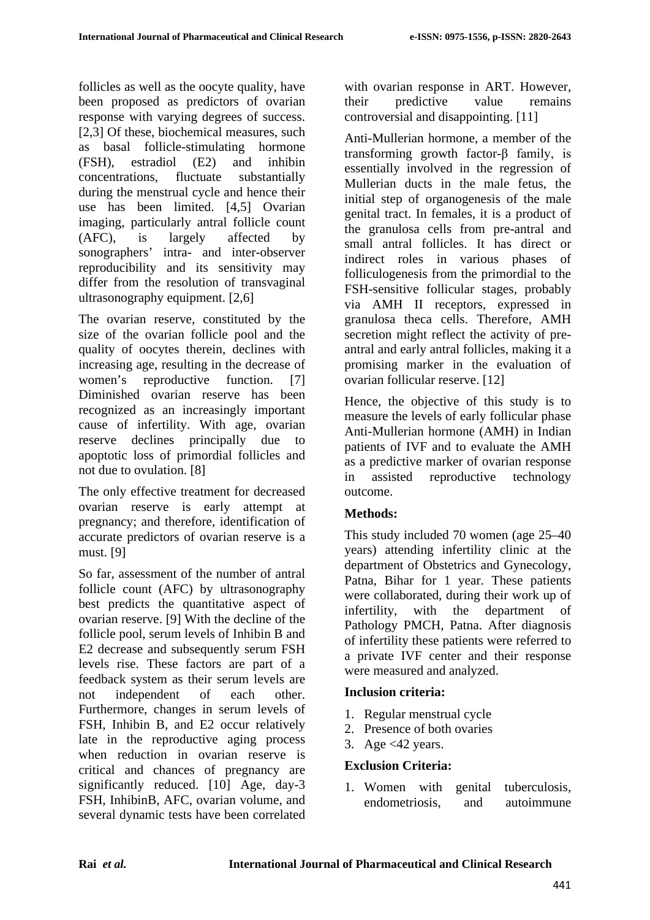follicles as well as the oocyte quality, have been proposed as predictors of ovarian response with varying degrees of success. [2,3] Of these, biochemical measures, such as basal follicle-stimulating hormone (FSH), estradiol (E2) and inhibin concentrations, fluctuate substantially during the menstrual cycle and hence their use has been limited. [4,5] Ovarian imaging, particularly antral follicle count (AFC), is largely affected by sonographers' intra- and inter-observer reproducibility and its sensitivity may differ from the resolution of transvaginal ultrasonography equipment. [2,6]

The ovarian reserve, constituted by the size of the ovarian follicle pool and the quality of oocytes therein, declines with increasing age, resulting in the decrease of women's reproductive function. [7] Diminished ovarian reserve has been recognized as an increasingly important cause of infertility. With age, ovarian reserve declines principally due to apoptotic loss of primordial follicles and not due to ovulation. [8]

The only effective treatment for decreased ovarian reserve is early attempt at pregnancy; and therefore, identification of accurate predictors of ovarian reserve is a must. [9]

So far, assessment of the number of antral follicle count (AFC) by ultrasonography best predicts the quantitative aspect of ovarian reserve. [9] With the decline of the follicle pool, serum levels of Inhibin B and E2 decrease and subsequently serum FSH levels rise. These factors are part of a feedback system as their serum levels are not independent of each other. Furthermore, changes in serum levels of FSH, Inhibin B, and E2 occur relatively late in the reproductive aging process when reduction in ovarian reserve is critical and chances of pregnancy are significantly reduced. [10] Age, day-3 FSH, InhibinB, AFC, ovarian volume, and several dynamic tests have been correlated

with ovarian response in ART. However, their predictive value remains controversial and disappointing. [11]

Anti-Mullerian hormone, a member of the transforming growth factor-β family, is essentially involved in the regression of Mullerian ducts in the male fetus, the initial step of organogenesis of the male genital tract. In females, it is a product of the granulosa cells from pre-antral and small antral follicles. It has direct or indirect roles in various phases of folliculogenesis from the primordial to the FSH-sensitive follicular stages, probably via AMH II receptors, expressed in granulosa theca cells. Therefore, AMH secretion might reflect the activity of preantral and early antral follicles, making it a promising marker in the evaluation of ovarian follicular reserve. [12]

Hence, the objective of this study is to measure the levels of early follicular phase Anti-Mullerian hormone (AMH) in Indian patients of IVF and to evaluate the AMH as a predictive marker of ovarian response in assisted reproductive technology outcome.

# **Methods:**

This study included 70 women (age 25–40 years) attending infertility clinic at the department of Obstetrics and Gynecology, Patna, Bihar for 1 year. These patients were collaborated, during their work up of infertility, with the department of Pathology PMCH, Patna. After diagnosis of infertility these patients were referred to a private IVF center and their response were measured and analyzed.

# **Inclusion criteria:**

- 1. Regular menstrual cycle
- 2. Presence of both ovaries
- 3. Age  $<42$  years.

#### **Exclusion Criteria:**

1. Women with genital tuberculosis, endometriosis, and autoimmune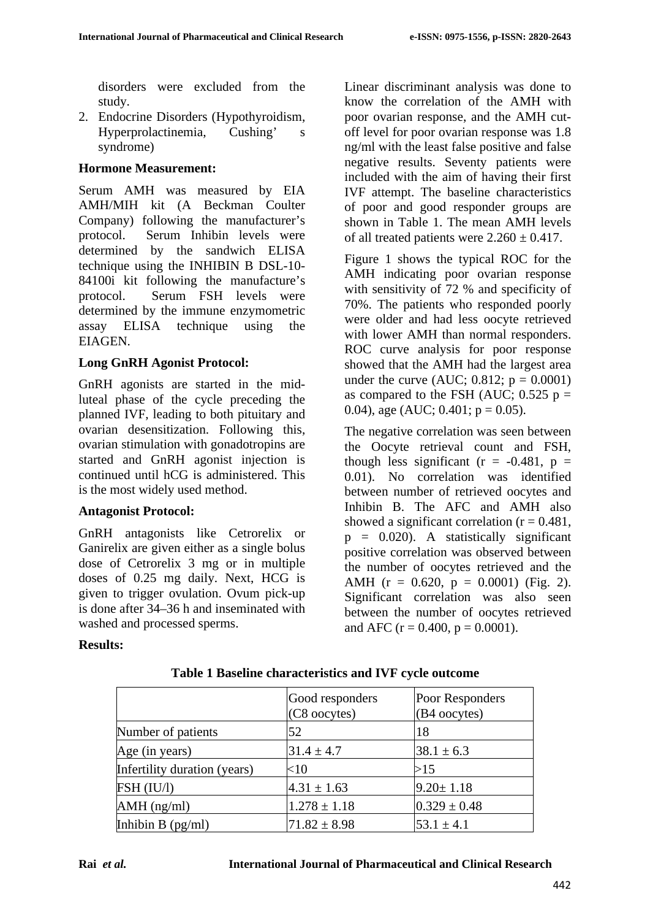disorders were excluded from the study.

2. Endocrine Disorders (Hypothyroidism, Hyperprolactinemia, Cushing' s syndrome)

#### **Hormone Measurement:**

Serum AMH was measured by EIA AMH/MIH kit (A Beckman Coulter Company) following the manufacturer's protocol. Serum Inhibin levels were determined by the sandwich ELISA technique using the INHIBIN B DSL-10- 84100i kit following the manufacture's protocol. Serum FSH levels were determined by the immune enzymometric assay ELISA technique using the EIAGEN.

#### **Long GnRH Agonist Protocol:**

GnRH agonists are started in the midluteal phase of the cycle preceding the planned IVF, leading to both pituitary and ovarian desensitization. Following this, ovarian stimulation with gonadotropins are started and GnRH agonist injection is continued until hCG is administered. This is the most widely used method.

# **Antagonist Protocol:**

GnRH antagonists like Cetrorelix or Ganirelix are given either as a single bolus dose of Cetrorelix 3 mg or in multiple doses of 0.25 mg daily. Next, HCG is given to trigger ovulation. Ovum pick-up is done after 34–36 h and inseminated with washed and processed sperms.

Linear discriminant analysis was done to know the correlation of the AMH with poor ovarian response, and the AMH cutoff level for poor ovarian response was 1.8 ng/ml with the least false positive and false negative results. Seventy patients were included with the aim of having their first IVF attempt. The baseline characteristics of poor and good responder groups are shown in Table 1. The mean AMH levels of all treated patients were  $2.260 \pm 0.417$ .

Figure 1 shows the typical ROC for the AMH indicating poor ovarian response with sensitivity of 72 % and specificity of 70%. The patients who responded poorly were older and had less oocyte retrieved with lower AMH than normal responders. ROC curve analysis for poor response showed that the AMH had the largest area under the curve (AUC;  $0.812$ ;  $p = 0.0001$ ) as compared to the FSH (AUC;  $0.525$  p = 0.04), age (AUC; 0.401;  $p = 0.05$ ).

The negative correlation was seen between the Oocyte retrieval count and FSH, though less significant ( $r = -0.481$ ,  $p =$ 0.01). No correlation was identified between number of retrieved oocytes and Inhibin B. The AFC and AMH also showed a significant correlation  $(r = 0.481)$ ,  $p = 0.020$ . A statistically significant positive correlation was observed between the number of oocytes retrieved and the AMH ( $r = 0.620$ ,  $p = 0.0001$ ) (Fig. 2). Significant correlation was also seen between the number of oocytes retrieved and AFC ( $r = 0.400$ ,  $p = 0.0001$ ).

#### **Results:**

|                              | Good responders<br>(C8 oocytes) | Poor Responders<br>(B4 oocytes) |
|------------------------------|---------------------------------|---------------------------------|
| Number of patients           | 52                              | 18                              |
| Age (in years)               | $31.4 \pm 4.7$                  | $38.1 \pm 6.3$                  |
| Infertility duration (years) | $<$ 10                          | >15                             |
| FSH (IU/l)                   | $4.31 \pm 1.63$                 | $9.20 \pm 1.18$                 |
| $AMH$ (ng/ml)                | $1.278 \pm 1.18$                | $0.329 \pm 0.48$                |
| Inhibin $B$ (pg/ml)          | $71.82 \pm 8.98$                | $53.1 \pm 4.1$                  |

#### **Table 1 Baseline characteristics and IVF cycle outcome**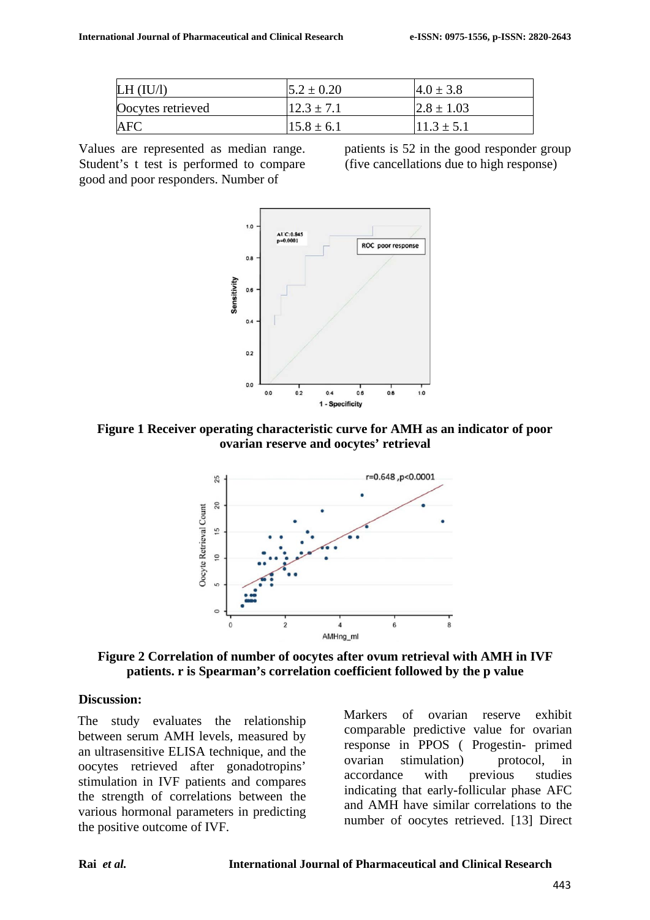| LH (IU/l)         | $5.2 \pm 0.20$ | $4.0 \pm 3.8$   |
|-------------------|----------------|-----------------|
| Oocytes retrieved | $12.3 \pm 7.1$ | $ 2.8 \pm 1.03$ |
| AFC               | $15.8 \pm 6.1$ | $11.3 \pm 5.1$  |

Values are represented as median range. Student's t test is performed to compare good and poor responders. Number of

patients is 52 in the good responder group (five cancellations due to high response)



**Figure 1 Receiver operating characteristic curve for AMH as an indicator of poor ovarian reserve and oocytes' retrieval**



**Figure 2 Correlation of number of oocytes after ovum retrieval with AMH in IVF patients. r is Spearman's correlation coefficient followed by the p value**

#### **Discussion:**

The study evaluates the relationship between serum AMH levels, measured by an ultrasensitive ELISA technique, and the oocytes retrieved after gonadotropins' stimulation in IVF patients and compares the strength of correlations between the various hormonal parameters in predicting the positive outcome of IVF.

Markers of ovarian reserve exhibit comparable predictive value for ovarian response in PPOS ( Progestin- primed ovarian stimulation) protocol, in accordance with previous studies indicating that early-follicular phase AFC and AMH have similar correlations to the number of oocytes retrieved. [13] Direct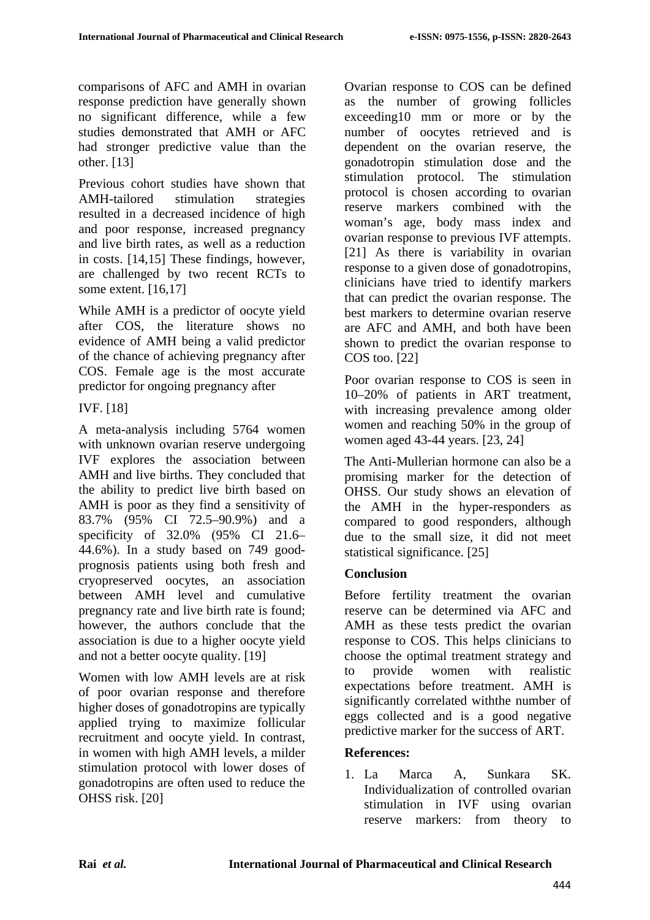comparisons of AFC and AMH in ovarian response prediction have generally shown no significant difference, while a few studies demonstrated that AMH or AFC had stronger predictive value than the other. [13]

Previous cohort studies have shown that AMH-tailored stimulation strategies resulted in a decreased incidence of high and poor response, increased pregnancy and live birth rates, as well as a reduction in costs. [14,15] These findings, however, are challenged by two recent RCTs to some extent. [16,17]

While AMH is a predictor of oocyte yield after COS, the literature shows no evidence of AMH being a valid predictor of the chance of achieving pregnancy after COS. Female age is the most accurate predictor for ongoing pregnancy after

IVF. [18]

A meta-analysis including 5764 women with unknown ovarian reserve undergoing IVF explores the association between AMH and live births. They concluded that the ability to predict live birth based on AMH is poor as they find a sensitivity of 83.7% (95% CI 72.5–90.9%) and a specificity of 32.0% (95% CI 21.6– 44.6%). In a study based on 749 goodprognosis patients using both fresh and cryopreserved oocytes, an association between AMH level and cumulative pregnancy rate and live birth rate is found; however, the authors conclude that the association is due to a higher oocyte yield and not a better oocyte quality. [19]

Women with low AMH levels are at risk of poor ovarian response and therefore higher doses of gonadotropins are typically applied trying to maximize follicular recruitment and oocyte yield. In contrast, in women with high AMH levels, a milder stimulation protocol with lower doses of gonadotropins are often used to reduce the OHSS risk. [20]

Ovarian response to COS can be defined as the number of growing follicles exceeding10 mm or more or by the number of oocytes retrieved and is dependent on the ovarian reserve, the gonadotropin stimulation dose and the stimulation protocol. The stimulation protocol is chosen according to ovarian reserve markers combined with the woman's age, body mass index and ovarian response to previous IVF attempts. [21] As there is variability in ovarian response to a given dose of gonadotropins, clinicians have tried to identify markers that can predict the ovarian response. The best markers to determine ovarian reserve are AFC and AMH, and both have been shown to predict the ovarian response to COS too. [22]

Poor ovarian response to COS is seen in 10–20% of patients in ART treatment, with increasing prevalence among older women and reaching 50% in the group of women aged 43-44 years. [23, 24]

The Anti-Mullerian hormone can also be a promising marker for the detection of OHSS. Our study shows an elevation of the AMH in the hyper-responders as compared to good responders, although due to the small size, it did not meet statistical significance. [25]

# **Conclusion**

Before fertility treatment the ovarian reserve can be determined via AFC and AMH as these tests predict the ovarian response to COS. This helps clinicians to choose the optimal treatment strategy and to provide women with realistic expectations before treatment. AMH is significantly correlated withthe number of eggs collected and is a good negative predictive marker for the success of ART.

#### **References:**

1. La Marca A, Sunkara SK. Individualization of controlled ovarian stimulation in IVF using ovarian reserve markers: from theory to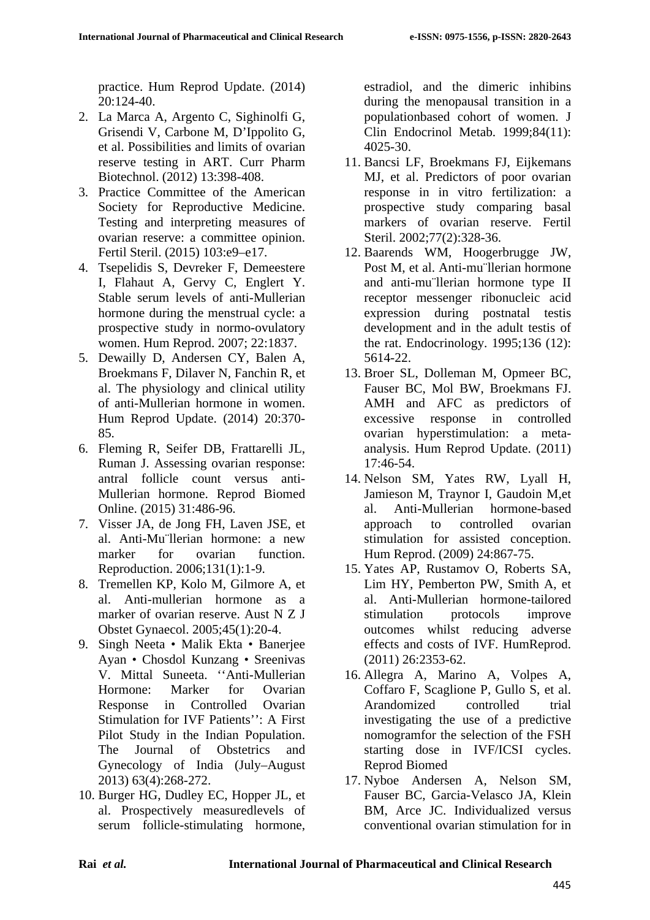practice. Hum Reprod Update. (2014) 20:124-40.

- 2. La Marca A, Argento C, Sighinolfi G, Grisendi V, Carbone M, D'Ippolito G, et al. Possibilities and limits of ovarian reserve testing in ART. Curr Pharm Biotechnol. (2012) 13:398-408.
- 3. Practice Committee of the American Society for Reproductive Medicine. Testing and interpreting measures of ovarian reserve: a committee opinion. Fertil Steril. (2015) 103:e9–e17.
- 4. Tsepelidis S, Devreker F, Demeestere I, Flahaut A, Gervy C, Englert Y. Stable serum levels of anti-Mullerian hormone during the menstrual cycle: a prospective study in normo-ovulatory women. Hum Reprod. 2007; 22:1837.
- 5. Dewailly D, Andersen CY, Balen A, Broekmans F, Dilaver N, Fanchin R, et al. The physiology and clinical utility of anti-Mullerian hormone in women. Hum Reprod Update. (2014) 20:370- 85.
- 6. Fleming R, Seifer DB, Frattarelli JL, Ruman J. Assessing ovarian response: antral follicle count versus anti-Mullerian hormone. Reprod Biomed Online. (2015) 31:486-96.
- 7. Visser JA, de Jong FH, Laven JSE, et al. Anti-Mu¨llerian hormone: a new marker for ovarian function. Reproduction. 2006;131(1):1-9.
- 8. Tremellen KP, Kolo M, Gilmore A, et al. Anti-mullerian hormone as a marker of ovarian reserve. Aust N Z J Obstet Gynaecol. 2005;45(1):20-4.
- 9. Singh Neeta Malik Ekta Banerjee Ayan • Chosdol Kunzang • Sreenivas V. Mittal Suneeta. ''Anti-Mullerian Hormone: Marker for Ovarian Response in Controlled Ovarian Stimulation for IVF Patients'': A First Pilot Study in the Indian Population. The Journal of Obstetrics and Gynecology of India (July–August 2013) 63(4):268-272.
- 10. Burger HG, Dudley EC, Hopper JL, et al. Prospectively measuredlevels of serum follicle-stimulating hormone,

estradiol, and the dimeric inhibins during the menopausal transition in a populationbased cohort of women. J Clin Endocrinol Metab. 1999;84(11): 4025-30.

- 11. Bancsi LF, Broekmans FJ, Eijkemans MJ, et al. Predictors of poor ovarian response in in vitro fertilization: a prospective study comparing basal markers of ovarian reserve. Fertil Steril. 2002;77(2):328-36.
- 12. Baarends WM, Hoogerbrugge JW, Post M, et al. Anti-mu¨llerian hormone and anti-mu¨llerian hormone type II receptor messenger ribonucleic acid expression during postnatal testis development and in the adult testis of the rat. Endocrinology. 1995;136 (12): 5614-22.
- 13. Broer SL, Dolleman M, Opmeer BC, Fauser BC, Mol BW, Broekmans FJ. AMH and AFC as predictors of excessive response in controlled ovarian hyperstimulation: a metaanalysis. Hum Reprod Update. (2011) 17:46-54.
- 14. Nelson SM, Yates RW, Lyall H, Jamieson M, Traynor I, Gaudoin M,et al. Anti-Mullerian hormone-based approach to controlled ovarian stimulation for assisted conception. Hum Reprod. (2009) 24:867-75.
- 15. Yates AP, Rustamov O, Roberts SA, Lim HY, Pemberton PW, Smith A, et al. Anti-Mullerian hormone-tailored stimulation protocols improve outcomes whilst reducing adverse effects and costs of IVF. HumReprod. (2011) 26:2353-62.
- 16. Allegra A, Marino A, Volpes A, Coffaro F, Scaglione P, Gullo S, et al. Arandomized controlled trial investigating the use of a predictive nomogramfor the selection of the FSH starting dose in IVF/ICSI cycles. Reprod Biomed
- 17. Nyboe Andersen A, Nelson SM, Fauser BC, Garcia-Velasco JA, Klein BM, Arce JC. Individualized versus conventional ovarian stimulation for in